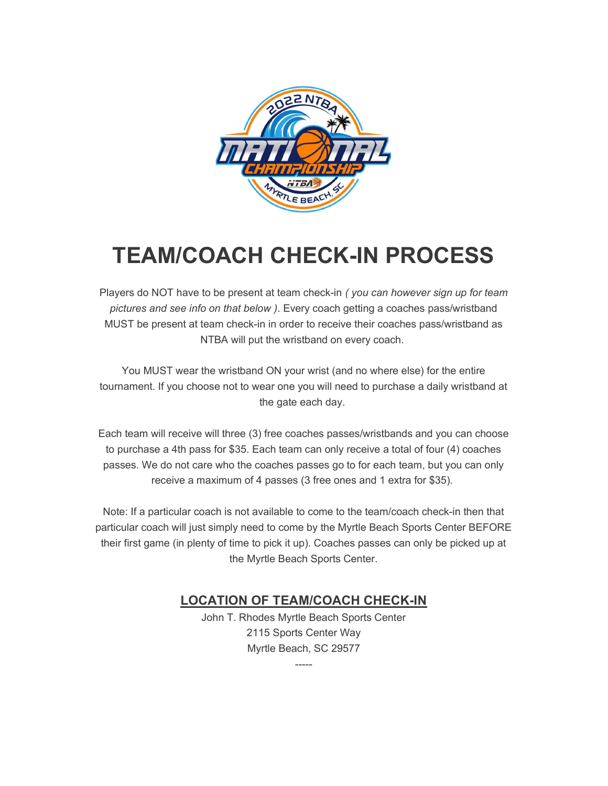

# TEAM/COACH CHECK-IN PROCESS

Players do NOT have to be present at team check-in ( you can however sign up for team pictures and see info on that below ). Every coach getting a coaches pass/wristband MUST be present at team check-in in order to receive their coaches pass/wristband as NTBA will put the wristband on every coach.

You MUST wear the wristband ON your wrist (and no where else) for the entire tournament. If you choose not to wear one you will need to purchase a daily wristband at the gate each day.

Each team will receive will three (3) free coaches passes/wristbands and you can choose to purchase a 4th pass for \$35. Each team can only receive a total of four (4) coaches passes. We do not care who the coaches passes go to for each team, but you can only receive a maximum of 4 passes (3 free ones and 1 extra for \$35).

Note: If a particular coach is not available to come to the team/coach check-in then that particular coach will just simply need to come by the Myrtle Beach Sports Center BEFORE their first game (in plenty of time to pick it up). Coaches passes can only be picked up at the Myrtle Beach Sports Center.

## LOCATION OF TEAM/COACH CHECK-IN

John T. Rhodes Myrtle Beach Sports Center 2115 Sports Center Way Myrtle Beach, SC 29577

-----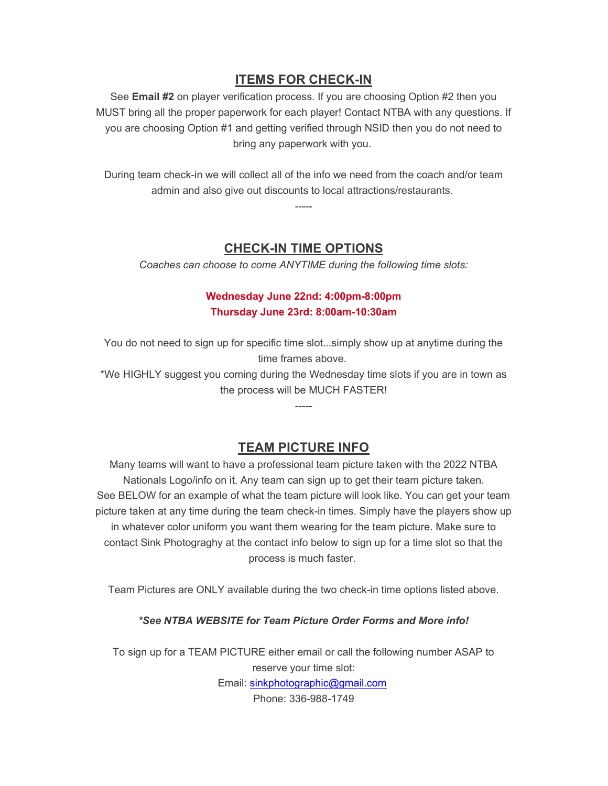### ITEMS FOR CHECK-IN

See Email #2 on player verification process. If you are choosing Option #2 then you MUST bring all the proper paperwork for each player! Contact NTBA with any questions. If you are choosing Option #1 and getting verified through NSID then you do not need to bring any paperwork with you.

During team check-in we will collect all of the info we need from the coach and/or team admin and also give out discounts to local attractions/restaurants.

-----

### CHECK-IN TIME OPTIONS

Coaches can choose to come ANYTIME during the following time slots:

#### Wednesday June 22nd: 4:00pm-8:00pm Thursday June 23rd: 8:00am-10:30am

You do not need to sign up for specific time slot...simply show up at anytime during the time frames above.

\*We HIGHLY suggest you coming during the Wednesday time slots if you are in town as the process will be MUCH FASTER!

-----

# **TEAM PICTURE INFO**

Many teams will want to have a professional team picture taken with the 2022 NTBA Nationals Logo/info on it. Any team can sign up to get their team picture taken. See BELOW for an example of what the team picture will look like. You can get your team picture taken at any time during the team check-in times. Simply have the players show up in whatever color uniform you want them wearing for the team picture. Make sure to contact Sink Photograghy at the contact info below to sign up for a time slot so that the process is much faster.

Team Pictures are ONLY available during the two check-in time options listed above.

#### \*See NTBA WEBSITE for Team Picture Order Forms and More info!

To sign up for a TEAM PICTURE either email or call the following number ASAP to reserve your time slot: Email: sinkphotographic@gmail.com Phone: 336-988-1749